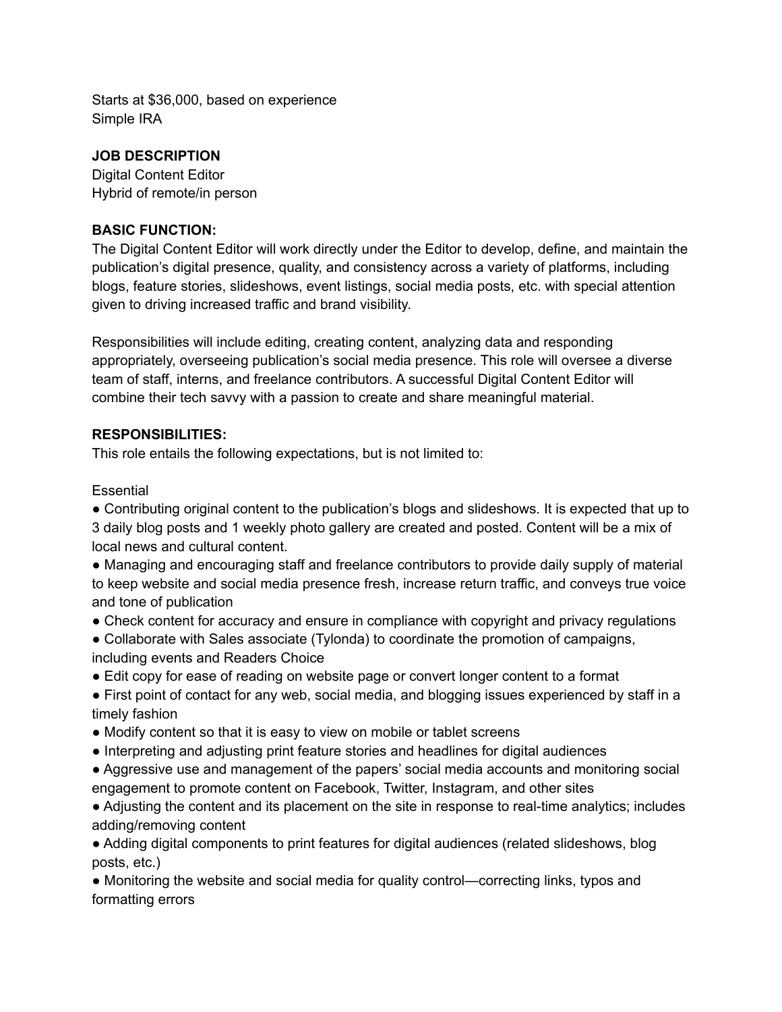Starts at \$36,000, based on experience Simple IRA

### **JOB DESCRIPTION**

Digital Content Editor Hybrid of remote/in person

### **BASIC FUNCTION:**

The Digital Content Editor will work directly under the Editor to develop, define, and maintain the publication's digital presence, quality, and consistency across a variety of platforms, including blogs, feature stories, slideshows, event listings, social media posts, etc. with special attention given to driving increased traffic and brand visibility.

Responsibilities will include editing, creating content, analyzing data and responding appropriately, overseeing publication's social media presence. This role will oversee a diverse team of staff, interns, and freelance contributors. A successful Digital Content Editor will combine their tech savvy with a passion to create and share meaningful material.

### **RESPONSIBILITIES:**

This role entails the following expectations, but is not limited to:

**Essential** 

● Contributing original content to the publication's blogs and slideshows. It is expected that up to 3 daily blog posts and 1 weekly photo gallery are created and posted. Content will be a mix of local news and cultural content.

• Managing and encouraging staff and freelance contributors to provide daily supply of material to keep website and social media presence fresh, increase return traffic, and conveys true voice and tone of publication

- Check content for accuracy and ensure in compliance with copyright and privacy regulations
- Collaborate with Sales associate (Tylonda) to coordinate the promotion of campaigns, including events and Readers Choice
- Edit copy for ease of reading on website page or convert longer content to a format
- First point of contact for any web, social media, and blogging issues experienced by staff in a timely fashion
- Modify content so that it is easy to view on mobile or tablet screens
- Interpreting and adjusting print feature stories and headlines for digital audiences
- Aggressive use and management of the papers' social media accounts and monitoring social engagement to promote content on Facebook, Twitter, Instagram, and other sites

● Adjusting the content and its placement on the site in response to real-time analytics; includes adding/removing content

● Adding digital components to print features for digital audiences (related slideshows, blog posts, etc.)

• Monitoring the website and social media for quality control—correcting links, typos and formatting errors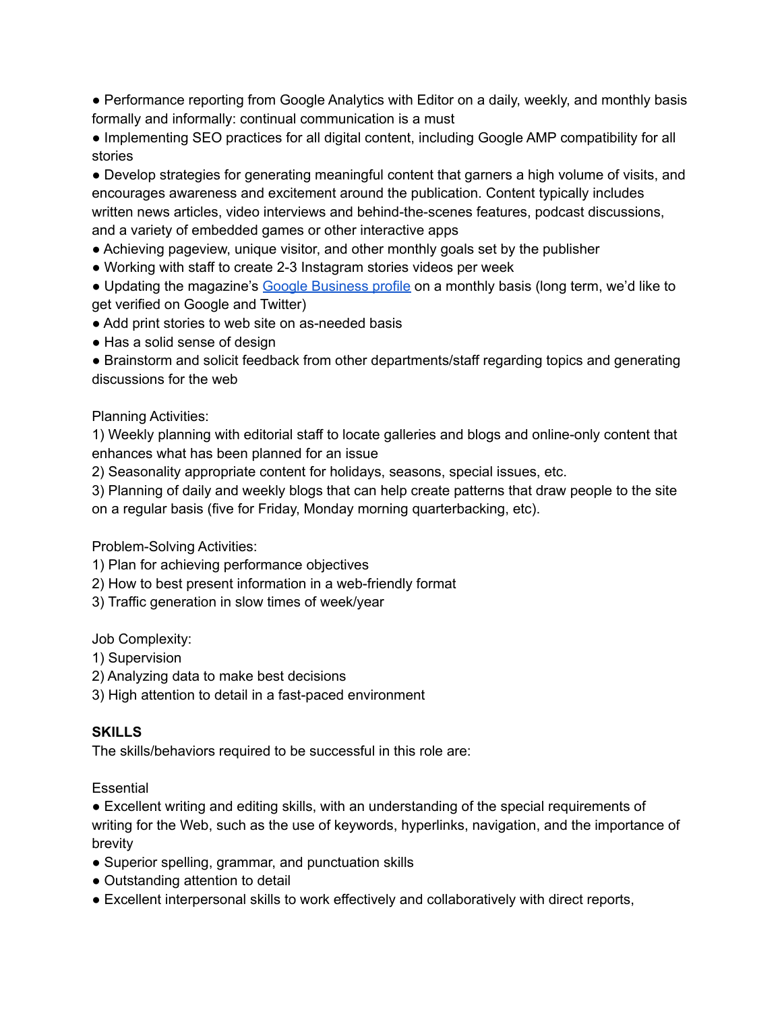● Performance reporting from Google Analytics with Editor on a daily, weekly, and monthly basis formally and informally: continual communication is a must

● Implementing SEO practices for all digital content, including Google AMP compatibility for all stories

● Develop strategies for generating meaningful content that garners a high volume of visits, and encourages awareness and excitement around the publication. Content typically includes written news articles, video interviews and behind-the-scenes features, podcast discussions, and a variety of embedded games or other interactive apps

● Achieving pageview, unique visitor, and other monthly goals set by the publisher

● Working with staff to create 2-3 Instagram stories videos per week

• Updating the magazine's Google [Business](https://www.google.com/search?q=the+omaha+reader+address&sxsrf=APq-WBv9Kz6LmRy3Ww0vOMlnDWpFjyYRrw%3A1649703602334&ei=snpUYoCAFIS-tAbG8qrQAQ&ved=0ahUKEwiAoc7p2Iz3AhUEH80KHUa5ChoQ4dUDCA4&uact=5&oq=the+omaha+reader+address&gs_lcp=Cgdnd3Mtd2l6EAMyCAghEBYQHRAeOgcIABBHELADOgYIABAWEB5KBAhBGABKBAhGGABQnANY_wpg7QtoAXABeACAAZABiAG3BpIBAzIuNZgBAKABAcgBCMABAQ&sclient=gws-wiz) profile on a monthly basis (long term, we'd like to get verified on Google and Twitter)

- Add print stories to web site on as-needed basis
- Has a solid sense of design

● Brainstorm and solicit feedback from other departments/staff regarding topics and generating discussions for the web

#### Planning Activities:

1) Weekly planning with editorial staff to locate galleries and blogs and online-only content that enhances what has been planned for an issue

2) Seasonality appropriate content for holidays, seasons, special issues, etc.

3) Planning of daily and weekly blogs that can help create patterns that draw people to the site on a regular basis (five for Friday, Monday morning quarterbacking, etc).

Problem-Solving Activities:

- 1) Plan for achieving performance objectives
- 2) How to best present information in a web-friendly format
- 3) Traffic generation in slow times of week/year

Job Complexity:

- 1) Supervision
- 2) Analyzing data to make best decisions
- 3) High attention to detail in a fast-paced environment

## **SKILLS**

The skills/behaviors required to be successful in this role are:

#### **Essential**

● Excellent writing and editing skills, with an understanding of the special requirements of writing for the Web, such as the use of keywords, hyperlinks, navigation, and the importance of brevity

- Superior spelling, grammar, and punctuation skills
- Outstanding attention to detail
- Excellent interpersonal skills to work effectively and collaboratively with direct reports,